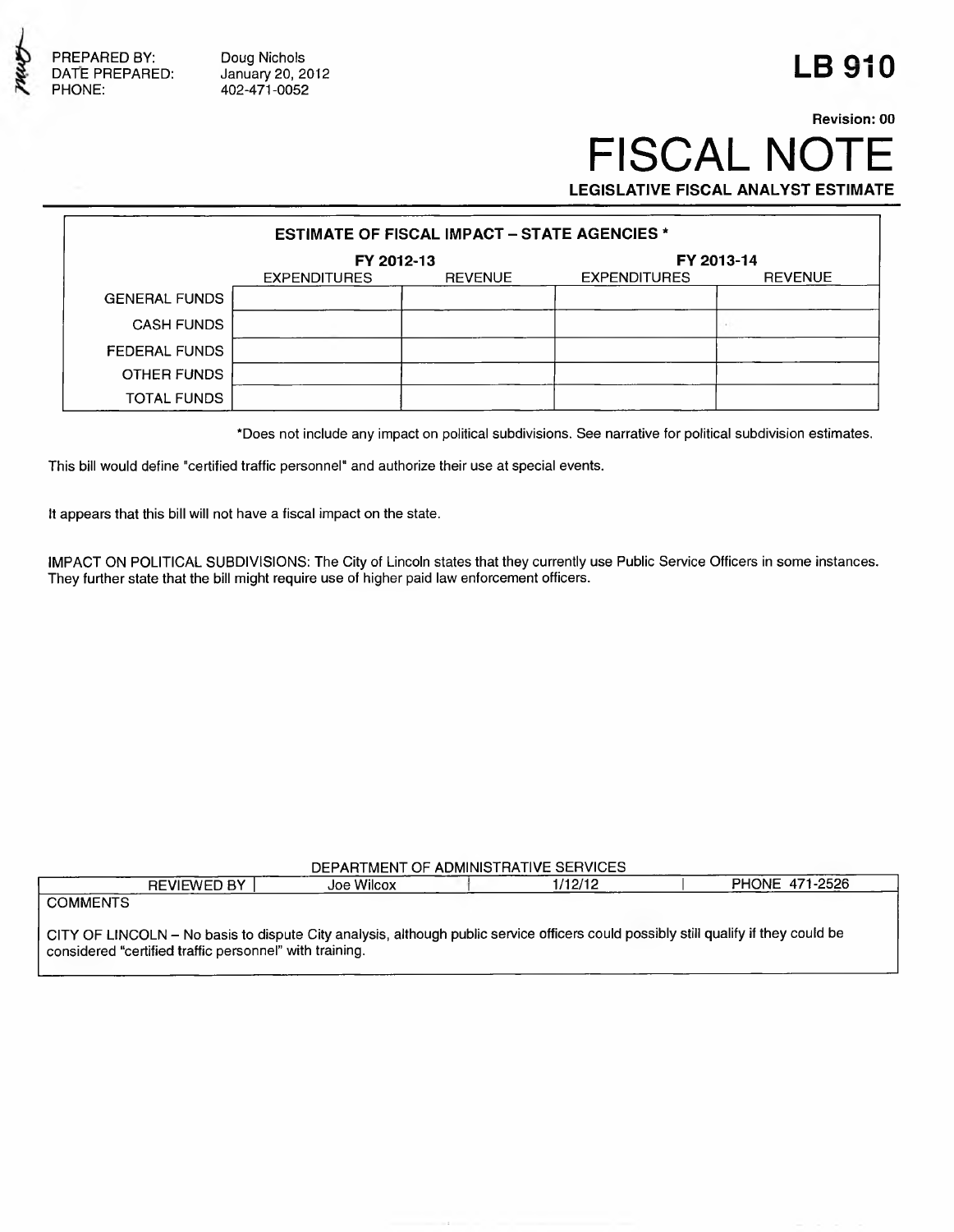

PREPARED BY: Doug Nichols in a part of the set of the set of the set of the set of the set of the set of the set of the set of the set of the set of the set of the set of the set of the set of the set of the set of the se PHONE: 402-471-0052

## **Revision: 00 FISCAL NOT LEGISLATIVE FISCAL ANALYST ESTIMATE**

**ESTIMATE OF FISCAL IMPACT - STATE AGENCIES \* FY 2012-13**<br>EXPENDITURES REVENUE EXPENDITURES EXPENDITURES REVENUE GENERAL FUNDS CASH FUNDS FEDERAL FUNDS OTHER FUNDS TOTAL FUNDS

' Does not Include any impact on political subdivisions. See narrative for political subdivision estimates.

This bill would define "certified traffic personnel" and authorize their use at special events.

It appears that this bill will not have a fiscal impact on the state.

IMPACT ON POLITICAL SUBDIVISIONS: The City of Lincoln states that they currently use Public Service Officers in some instances. They further state that the bill might require use of higher paid law enforcement officers.

## DEPARTMENT OF ADMINISTRATIVE SERVICES

| <b>REVIEWED BY</b>                                                                                                                  | Joe Wilcox | 1/12/12 | <b>PHONE 471-2526</b> |  |  |  |  |
|-------------------------------------------------------------------------------------------------------------------------------------|------------|---------|-----------------------|--|--|--|--|
| <b>COMMENTS</b>                                                                                                                     |            |         |                       |  |  |  |  |
|                                                                                                                                     |            |         |                       |  |  |  |  |
| CITY OF LINCOLN – No basis to dispute City analysis, although public service officers could possibly still qualify if they could be |            |         |                       |  |  |  |  |
| considered "certified traffic personnel" with training.                                                                             |            |         |                       |  |  |  |  |